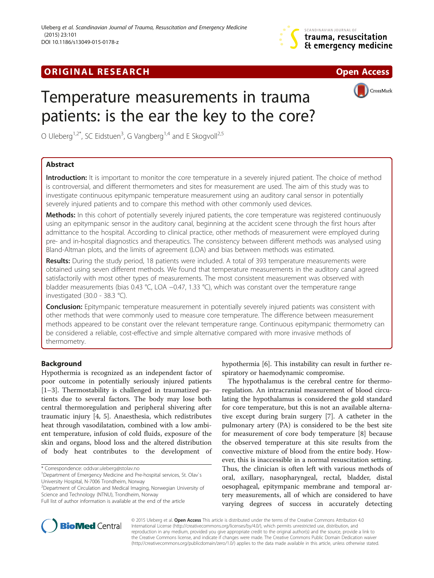

## **ORIGINAL RESEARCH CHARGE ACCESS**



CrossMark



O Uleberg<sup>1,2\*</sup>, SC Eidstuen<sup>3</sup>, G Vangberg<sup>1,4</sup> and E Skogvoll<sup>2,5</sup>

## Abstract

Introduction: It is important to monitor the core temperature in a severely injured patient. The choice of method is controversial, and different thermometers and sites for measurement are used. The aim of this study was to investigate continuous epitympanic temperature measurement using an auditory canal sensor in potentially severely injured patients and to compare this method with other commonly used devices.

Methods: In this cohort of potentially severely injured patients, the core temperature was registered continuously using an epitympanic sensor in the auditory canal, beginning at the accident scene through the first hours after admittance to the hospital. According to clinical practice, other methods of measurement were employed during pre- and in-hospital diagnostics and therapeutics. The consistency between different methods was analysed using Bland-Altman plots, and the limits of agreement (LOA) and bias between methods was estimated.

Results: During the study period, 18 patients were included. A total of 393 temperature measurements were obtained using seven different methods. We found that temperature measurements in the auditory canal agreed satisfactorily with most other types of measurements. The most consistent measurement was observed with bladder measurements (bias 0.43 °C, LOA −0.47, 1.33 °C), which was constant over the temperature range investigated (30.0 - 38.3 °C).

Conclusion: Epitympanic temperature measurement in potentially severely injured patients was consistent with other methods that were commonly used to measure core temperature. The difference between measurement methods appeared to be constant over the relevant temperature range. Continuous epitympanic thermometry can be considered a reliable, cost-effective and simple alternative compared with more invasive methods of thermometry.

### Background

Hypothermia is recognized as an independent factor of poor outcome in potentially seriously injured patients [[1](#page-6-0)–[3\]](#page-6-0). Thermostability is challenged in traumatized patients due to several factors. The body may lose both central thermoregulation and peripheral shivering after traumatic injury [[4, 5\]](#page-6-0). Anaesthesia, which redistributes heat through vasodilatation, combined with a low ambient temperature, infusion of cold fluids, exposure of the skin and organs, blood loss and the altered distribution of body heat contributes to the development of

\* Correspondence: [oddvar.uleberg@stolav.no](mailto:oddvar.uleberg@stolav.no) <sup>1</sup>

<sup>2</sup> Department of Circulation and Medical Imaging, Norwegian University of Science and Technology (NTNU), Trondheim, Norway

hypothermia [[6\]](#page-6-0). This instability can result in further respiratory or haemodynamic compromise.

The hypothalamus is the cerebral centre for thermoregulation. An intracranial measurement of blood circulating the hypothalamus is considered the gold standard for core temperature, but this is not an available alternative except during brain surgery [[7](#page-6-0)]. A catheter in the pulmonary artery (PA) is considered to be the best site for measurement of core body temperature [[8](#page-6-0)] because the observed temperature at this site results from the convective mixture of blood from the entire body. However, this is inaccessible in a normal resuscitation setting. Thus, the clinician is often left with various methods of oral, axillary, nasopharyngeal, rectal, bladder, distal oesophageal, epitympanic membrane and temporal artery measurements, all of which are considered to have varying degrees of success in accurately detecting



© 2015 Uleberg et al. Open Access This article is distributed under the terms of the Creative Commons Attribution 4.0 International License [\(http://creativecommons.org/licenses/by/4.0/](http://creativecommons.org/licenses/by/4.0/)), which permits unrestricted use, distribution, and reproduction in any medium, provided you give appropriate credit to the original author(s) and the source, provide a link to the Creative Commons license, and indicate if changes were made. The Creative Commons Public Domain Dedication waiver [\(http://creativecommons.org/publicdomain/zero/1.0/](http://creativecommons.org/publicdomain/zero/1.0/)) applies to the data made available in this article, unless otherwise stated.

<sup>&</sup>lt;sup>1</sup>Department of Emergency Medicine and Pre-hospital services, St. Olav's University Hospital, N-7006 Trondheim, Norway

Full list of author information is available at the end of the article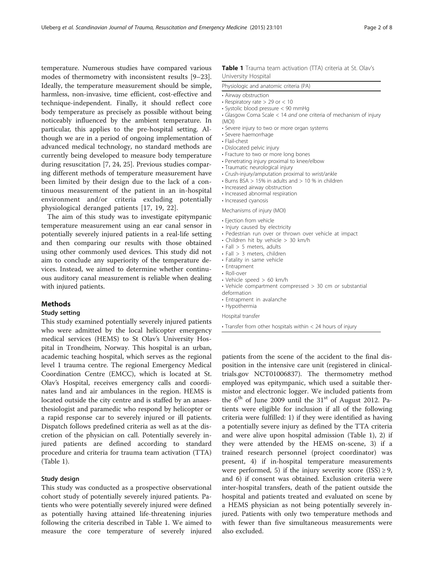temperature. Numerous studies have compared vario modes of thermometry with inconsistent results [[9](#page-6-0)–[23](#page-6-0)]. Ideally, the temperature measurement should be simp harmless, non-invasive, time efficient, cost-effective and technique-independent. Finally, it should reflect co body temperature as precisely as possible without being noticeably influenced by the ambient temperature. particular, this applies to the pre-hospital setting.  $A$ though we are in a period of ongoing implementation advanced medical technology, no standard methods a currently being developed to measure body temperature during resuscitation [\[7](#page-6-0), [24](#page-6-0), [25\]](#page-6-0). Previous studies compa ing different methods of temperature measurement have been limited by their design due to the lack of a continuous measurement of the patient in an in-hospit environment and/or criteria excluding potential physiological deranged patients [[17, 19, 22\]](#page-6-0).

The aim of this study was to investigate epitympan temperature measurement using an ear canal sensor potentially severely injured patients in a real-life setting and then comparing our results with those obtained using other commonly used devices. This study did n aim to conclude any superiority of the temperature d vices. Instead, we aimed to determine whether continu ous auditory canal measurement is reliable when dealing with injured patients.

#### Methods

#### Study setting

This study examined potentially severely injured patients who were admitted by the local helicopter emergency medical services (HEMS) to St Olav's University Hospital in Trondheim, Norway. This hospital is an urban, academic teaching hospital, which serves as the regional level 1 trauma centre. The regional Emergency Medical Coordination Centre (EMCC), which is located at St. Olav's Hospital, receives emergency calls and coordinates land and air ambulances in the region. HEMS is located outside the city centre and is staffed by an anaesthesiologist and paramedic who respond by helicopter or a rapid response car to severely injured or ill patients. Dispatch follows predefined criteria as well as at the discretion of the physician on call. Potentially severely injured patients are defined according to standard procedure and criteria for trauma team activation (TTA) (Table 1).

#### Study design

This study was conducted as a prospective observational cohort study of potentially severely injured patients. Patients who were potentially severely injured were defined as potentially having attained life-threatening injuries following the criteria described in Table 1. We aimed to measure the core temperature of severely injured

# Table 1 Trauma team activation (TTA) criteria at St. Olav's

| Table T frauma team activation (FTA) chiena at St. Oldy's<br>University Hospital                                                                                                                                                                                                                                                                                                                                                                                                                                                                                                                                                                |
|-------------------------------------------------------------------------------------------------------------------------------------------------------------------------------------------------------------------------------------------------------------------------------------------------------------------------------------------------------------------------------------------------------------------------------------------------------------------------------------------------------------------------------------------------------------------------------------------------------------------------------------------------|
| Physiologic and anatomic criteria (PA)                                                                                                                                                                                                                                                                                                                                                                                                                                                                                                                                                                                                          |
| • Airway obstruction<br>• Respiratory rate $> 29$ or $< 10$<br>· Systolic blood pressure < 90 mmHg<br>• Glasgow Coma Scale < 14 and one criteria of mechanism of injury<br>(MOI)<br>• Severe injury to two or more organ systems<br>• Severe haemorrhage<br>• Flail-chest<br>• Dislocated pelvic injury<br>· Fracture to two or more long bones<br>· Penetrating injury proximal to knee/elbow<br>· Traumatic neurological injury<br>• Crush-injury/amputation proximal to wrist/ankle<br>• Burns BSA $> 15\%$ in adults and $> 10\%$ in children<br>· Increased airway obstruction<br>· Increased abnormal respiration<br>• Increased cyanosis |
| Mechanisms of injury (MOI)<br>• Ejection from vehicle<br>· Injury caused by electricity<br>• Pedestrian run over or thrown over vehicle at impact<br>• Children hit by vehicle > 30 km/h<br>$\cdot$ Fall $> 5$ meters, adults<br>$\cdot$ Fall $> 3$ meters, children<br>• Fatality in same vehicle<br>• Entrapment<br>• Roll-over<br>• Vehicle speed $> 60$ km/h<br>• Vehicle compartment compressed > 30 cm or substantial<br>deformation                                                                                                                                                                                                      |

- Entrapment in avalanche
- Hypothermia

Hospital transfer

• Transfer from other hospitals within < 24 hours of injury

patients from the scene of the accident to the final disposition in the intensive care unit (registered in clinicaltrials.gov NCT01006837). The thermometry method employed was epitympanic, which used a suitable thermistor and electronic logger. We included patients from the  $6<sup>th</sup>$  of June 2009 until the  $31<sup>st</sup>$  of August 2012. Patients were eligible for inclusion if all of the following criteria were fulfilled: 1) if they were identified as having a potentially severe injury as defined by the TTA criteria and were alive upon hospital admission (Table 1), 2) if they were attended by the HEMS on-scene, 3) if a trained research personnel (project coordinator) was present, 4) if in-hospital temperature measurements were performed, 5) if the injury severity score (ISS)  $\geq$  9, and 6) if consent was obtained. Exclusion criteria were inter-hospital transfers, death of the patient outside the hospital and patients treated and evaluated on scene by a HEMS physician as not being potentially severely injured. Patients with only two temperature methods and with fewer than five simultaneous measurements were also excluded.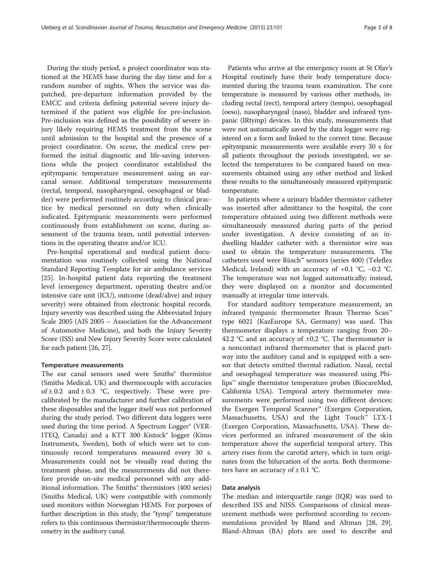During the study period, a project coordinator was stationed at the HEMS base during the day time and for a random number of nights. When the service was dispatched, pre-departure information provided by the EMCC and criteria defining potential severe injury determined if the patient was eligible for pre-inclusion. Pre-inclusion was defined as the possibility of severe injury likely requiring HEMS treatment from the scene until admission to the hospital and the presence of a project coordinator. On scene, the medical crew performed the initial diagnostic and life-saving interventions while the project coordinator established the epitympanic temperature measurement using an earcanal sensor. Additional temperature measurements (rectal, temporal, nasopharyngeal, oesophageal or bladder) were performed routinely according to clinical practice by medical personnel on duty when clinically indicated. Epitympanic measurements were performed continuously from establishment on scene, during assessment of the trauma team, until potential interventions in the operating theatre and/or ICU.

Pre-hospital operational and medical patient documentation was routinely collected using the National Standard Reporting Template for air ambulance services [[25\]](#page-6-0). In-hospital patient data reporting the treatment level (emergency department, operating theatre and/or intensive care unit (ICU), outcome (dead/alive) and injury severity) were obtained from electronic hospital records. Injury severity was described using the Abbreviated Injury Scale 2005 (AIS 2005 – Association for the Advancement of Automotive Medicine), and both the Injury Severity Score (ISS) and New Injury Severity Score were calculated for each patient [[26, 27\]](#page-6-0).

#### Temperature measurements

The ear canal sensors used were Smiths<sup>®</sup> thermistor (Smiths Medical, UK) and thermocouple with accuracies of  $\pm$  0.2 and  $\pm$  0.3 °C, respectively. These were precalibrated by the manufacturer and further calibration of these disposables and the logger itself was not performed during the study period. Two different data loggers were used during the time period. A Spectrum Logger® (VER-ITEQ, Canada) and a KTT 300 Kistock<sup>®</sup> logger (Kimo Instruments, Sweden), both of which were set to continuously record temperatures measured every 30 s. Measurements could not be visually read during the treatment phase, and the measurements did not therefore provide on-site medical personnel with any additional information. The Smiths<sup>®</sup> thermistors (400 series) (Smiths Medical, UK) were compatible with commonly used monitors within Norwegian HEMS. For purposes of further description in this study, the "tymp" temperature refers to this continuous thermistor/thermocouple thermometry in the auditory canal.

Patients who arrive at the emergency room at St Olav's Hospital routinely have their body temperature documented during the trauma team examination. The core temperature is measured by various other methods, including rectal (rect), temporal artery (tempo), oesophageal (oeso), nasopharyngeal (naso), bladder and infrared tympanic (IRtymp) devices. In this study, measurements that were not automatically saved by the data logger were registered on a form and linked to the correct time. Because epitympanic measurements were available every 30 s for all patients throughout the periods investigated, we selected the temperatures to be compared based on measurements obtained using any other method and linked these results to the simultaneously measured epitympanic temperature.

In patients where a urinary bladder thermistor catheter was inserted after admittance to the hospital, the core temperature obtained using two different methods were simultaneously measured during parts of the period under investigation. A device consisting of an indwelling bladder catheter with a thermistor wire was used to obtain the temperature measurements. The catheters used were Rüsch™ sensors (series 400) (Teleflex Medical, Ireland) with an accuracy of +0.1 °C, −0.2 °C. The temperature was not logged automatically; instead, they were displayed on a monitor and documented manually at irregular time intervals.

For standard auditory temperature measurement, an infrared tympanic thermometer Braun Thermo Scan™ type 6021 (KazEurope SA, Germany) was used. This thermometer displays a temperature ranging from 20– 42.2 °C and an accuracy of  $\pm 0.2$  °C. The thermometer is a noncontact infrared thermometer that is placed partway into the auditory canal and is equipped with a sensor that detects emitted thermal radiation. Nasal, rectal and oesophageal temperature was measured using Philips™ single thermistor temperature probes (BiocareMed, California USA). Temporal artery thermometer measurements were performed using two different devices: the Exergen Temporal Scanner™ (Exergen Corporation, Massachusetts, USA) and the Light Touch™ LTX-1 (Exergen Corporation, Massachusetts, USA). These devices performed an infrared measurement of the skin temperature above the superficial temporal artery. This artery rises from the carotid artery, which in turn originates from the bifurcation of the aorta. Both thermometers have an accuracy of  $\pm$  0.1 °C.

#### Data analysis

The median and interquartile range (IQR) was used to described ISS and NISS. Comparisons of clinical measurement methods were performed according to recommendations provided by Bland and Altman [[28](#page-6-0), [29](#page-6-0)]. Bland-Altman (BA) plots are used to describe and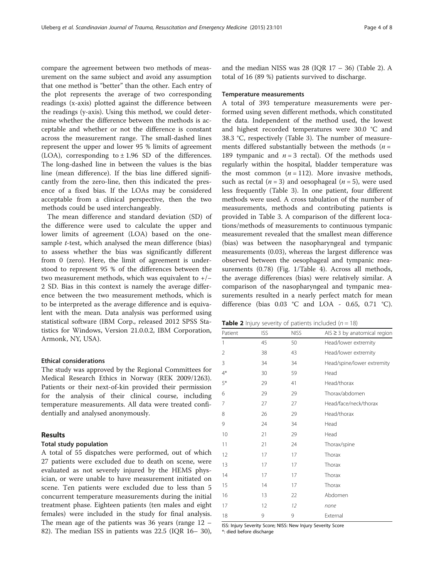compare the agreement between two methods of measurement on the same subject and avoid any assumption that one method is "better" than the other. Each entry of the plot represents the average of two corresponding readings (x-axis) plotted against the difference between the readings (y-axis). Using this method, we could determine whether the difference between the methods is acceptable and whether or not the difference is constant across the measurement range. The small-dashed lines represent the upper and lower 95 % limits of agreement (LOA), corresponding to  $\pm$  1.96 SD of the differences. The long-dashed line in between the values is the bias line (mean difference). If the bias line differed significantly from the zero-line, then this indicated the presence of a fixed bias. If the LOAs may be considered acceptable from a clinical perspective, then the two methods could be used interchangeably.

The mean difference and standard deviation (SD) of the difference were used to calculate the upper and lower limits of agreement (LOA) based on the onesample *t*-test, which analysed the mean difference (bias) to assess whether the bias was significantly different from 0 (zero). Here, the limit of agreement is understood to represent 95 % of the differences between the two measurement methods, which was equivalent to +/− 2 SD. Bias in this context is namely the average difference between the two measurement methods, which is to be interpreted as the average difference and is equivalent with the mean. Data analysis was performed using statistical software (IBM Corp., released 2012 SPSS Statistics for Windows, Version 21.0.0.2, IBM Corporation, Armonk, NY, USA).

#### Ethical considerations

The study was approved by the Regional Committees for Medical Research Ethics in Norway (REK 2009/1263). Patients or their next-of-kin provided their permission for the analysis of their clinical course, including temperature measurements. All data were treated confidentially and analysed anonymously.

#### Results

#### Total study population

A total of 55 dispatches were performed, out of which 27 patients were excluded due to death on scene, were evaluated as not severely injured by the HEMS physician, or were unable to have measurement initiated on scene. Ten patients were excluded due to less than 5 concurrent temperature measurements during the initial treatment phase. Eighteen patients (ten males and eight females) were included in the study for final analysis. The mean age of the patients was 36 years (range 12 – 82). The median ISS in patients was 22.5 (IQR 16– 30),

and the median NISS was  $28$  (IQR  $17 - 36$ ) (Table 2). A total of 16 (89 %) patients survived to discharge.

#### Temperature measurements

A total of 393 temperature measurements were performed using seven different methods, which constituted the data. Independent of the method used, the lowest and highest recorded temperatures were 30.0 °C and 38.3 °C, respectively (Table [3](#page-4-0)). The number of measurements differed substantially between the methods  $(n =$ 189 tympanic and  $n = 3$  rectal). Of the methods used regularly within the hospital, bladder temperature was the most common  $(n = 112)$ . More invasive methods, such as rectal ( $n = 3$ ) and oesophageal ( $n = 5$ ), were used less frequently (Table [3\)](#page-4-0). In one patient, four different methods were used. A cross tabulation of the number of measurements, methods and contributing patients is provided in Table [3.](#page-4-0) A comparison of the different locations/methods of measurements to continuous tympanic measurement revealed that the smallest mean difference (bias) was between the nasopharyngeal and tympanic measurements (0.03), whereas the largest difference was observed between the oesophageal and tympanic measurements (0.78) (Fig. [1/](#page-4-0)Table [4\)](#page-5-0). Across all methods, the average differences (bias) were relatively similar. A comparison of the nasopharyngeal and tympanic measurements resulted in a nearly perfect match for mean difference (bias 0.03 °C and LOA - 0.65, 0.71 °C).

**Table 2** Injury severity of patients included ( $n = 18$ )

| Patient | <b>ISS</b> | <b>NISS</b> | AIS $\geq$ 3 by anatomical region |
|---------|------------|-------------|-----------------------------------|
| 1       | 45         | 50          | Head/lower extremity              |
| 2       | 38         | 43          | Head/lower extremity              |
| 3       | 34         | 34          | Head/spine/lower extremity        |
| $4*$    | 30         | 59          | Head                              |
| $5*$    | 29         | 41          | Head/thorax                       |
| 6       | 29         | 29          | Thorax/abdomen                    |
| 7       | 27         | 27          | Head/face/neck/thorax             |
| 8       | 26         | 29          | Head/thorax                       |
| 9       | 24         | 34          | Head                              |
| 10      | 21         | 29          | Head                              |
| 11      | 21         | 24          | Thorax/spine                      |
| 12      | 17         | 17          | Thorax                            |
| 13      | 17         | 17          | Thorax                            |
| 14      | 17         | 17          | Thorax                            |
| 15      | 14         | 17          | Thorax                            |
| 16      | 13         | 22          | Abdomen                           |
| 17      | 12         | 12          | none                              |
| 18      | 9          | 9           | External                          |

ISS: Injury Severity Score; NISS: New Injury Severity Score \*: died before discharge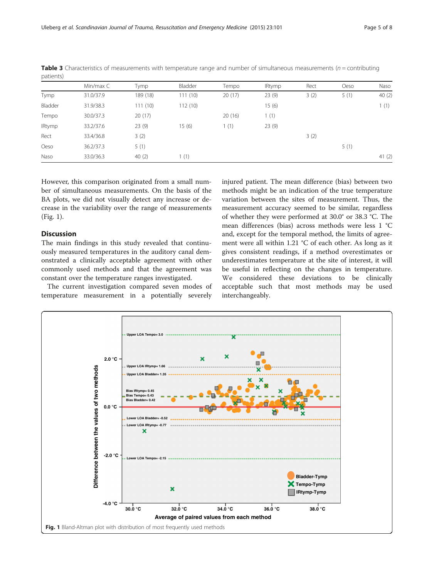|               | Min/max C | Tymp     | Bladder | Tempo  | <b>IRtymp</b> | Rect | Oeso | Naso     |
|---------------|-----------|----------|---------|--------|---------------|------|------|----------|
| Tymp          | 31.0/37.9 | 189 (18) | 111(10) | 20(17) | 23(9)         | 3(2) | 5(1) | 40(2)    |
| Bladder       | 31.9/38.3 | 111(10)  | 112(10) |        | 15(6)         |      |      | 1(1)     |
| Tempo         | 30.0/37.3 | 20(17)   |         | 20(16) | 1(1)          |      |      |          |
| <b>IRtymp</b> | 33.2/37.6 | 23(9)    | 15(6)   | 1(1)   | 23(9)         |      |      |          |
| Rect          | 33.4/36.8 | 3(2)     |         |        |               | 3(2) |      |          |
| Oeso          | 36.2/37.3 | 5(1)     |         |        |               |      | 5(1) |          |
| Naso          | 33.0/36.3 | 40(2)    | (1)     |        |               |      |      | 41 $(2)$ |

<span id="page-4-0"></span>**Table 3** Characteristics of measurements with temperature range and number of simultaneous measurements ( $n =$  contributing patients)

However, this comparison originated from a small number of simultaneous measurements. On the basis of the BA plots, we did not visually detect any increase or decrease in the variability over the range of measurements (Fig. 1).

#### Discussion

The main findings in this study revealed that continuously measured temperatures in the auditory canal demonstrated a clinically acceptable agreement with other commonly used methods and that the agreement was constant over the temperature ranges investigated.

The current investigation compared seven modes of temperature measurement in a potentially severely

injured patient. The mean difference (bias) between two methods might be an indication of the true temperature variation between the sites of measurement. Thus, the measurement accuracy seemed to be similar, regardless of whether they were performed at 30.0° or 38.3 °C. The mean differences (bias) across methods were less 1 °C and, except for the temporal method, the limits of agreement were all within 1.21 °C of each other. As long as it gives consistent readings, if a method overestimates or underestimates temperature at the site of interest, it will be useful in reflecting on the changes in temperature. We considered these deviations to be clinically acceptable such that most methods may be used interchangeably.

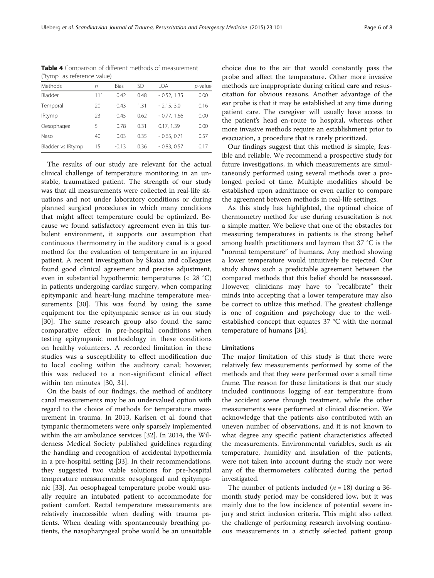| $\cdots$          |     |             |      |               |         |  |  |
|-------------------|-----|-------------|------|---------------|---------|--|--|
| Methods           | n   | <b>Bias</b> | SD   | I OA          | p-value |  |  |
| Bladder           | 111 | 0.42        | 0.48 | $-0.52, 1.35$ | 0.00    |  |  |
| Temporal          | 20  | 0.43        | 1.31 | $-2.15, 3.0$  | 0.16    |  |  |
| <b>IRtymp</b>     | 23  | 0.45        | 0.62 | $-0.77.166$   | 0.00    |  |  |
| Oesophageal       | 5   | 0.78        | 0.31 | 0.17, 1.39    | 0.00    |  |  |
| Naso              | 40  | 0.03        | 0.35 | $-0.65, 0.71$ | 0.57    |  |  |
| Bladder vs IRtymp | 15  | $-0.13$     | 0.36 | $-0.83, 0.57$ | 0.17    |  |  |

<span id="page-5-0"></span>Table 4 Comparison of different methods of measurement ("tymp" as reference value)

The results of our study are relevant for the actual clinical challenge of temperature monitoring in an unstable, traumatized patient. The strength of our study was that all measurements were collected in real-life situations and not under laboratory conditions or during planned surgical procedures in which many conditions that might affect temperature could be optimized. Because we found satisfactory agreement even in this turbulent environment, it supports our assumption that continuous thermometry in the auditory canal is a good method for the evaluation of temperature in an injured patient. A recent investigation by Skaiaa and colleagues found good clinical agreement and precise adjustment, even in substantial hypothermic temperatures (< 28 °C) in patients undergoing cardiac surgery, when comparing epitympanic and heart-lung machine temperature measurements [[30](#page-6-0)]. This was found by using the same equipment for the epitympanic sensor as in our study [[30\]](#page-6-0). The same research group also found the same comparative effect in pre-hospital conditions when testing epitympanic methodology in these conditions on healthy volunteers. A recorded limitation in these studies was a susceptibility to effect modification due to local cooling within the auditory canal; however, this was reduced to a non-significant clinical effect within ten minutes [[30, 31\]](#page-6-0).

On the basis of our findings, the method of auditory canal measurements may be an undervalued option with regard to the choice of methods for temperature measurement in trauma. In 2013, Karlsen et al. found that tympanic thermometers were only sparsely implemented within the air ambulance services [[32\]](#page-7-0). In 2014, the Wilderness Medical Society published guidelines regarding the handling and recognition of accidental hypothermia in a pre-hospital setting [[33\]](#page-7-0). In their recommendations, they suggested two viable solutions for pre-hospital temperature measurements: oesophageal and epitympanic [[33\]](#page-7-0). An oesophageal temperature probe would usually require an intubated patient to accommodate for patient comfort. Rectal temperature measurements are relatively inaccessible when dealing with trauma patients. When dealing with spontaneously breathing patients, the nasopharyngeal probe would be an unsuitable choice due to the air that would constantly pass the probe and affect the temperature. Other more invasive methods are inappropriate during critical care and resuscitation for obvious reasons. Another advantage of the ear probe is that it may be established at any time during patient care. The caregiver will usually have access to the patient's head en-route to hospital, whereas other more invasive methods require an establishment prior to evacuation, a procedure that is rarely prioritized.

Our findings suggest that this method is simple, feasible and reliable. We recommend a prospective study for future investigations, in which measurements are simultaneously performed using several methods over a prolonged period of time. Multiple modalities should be established upon admittance or even earlier to compare the agreement between methods in real-life settings.

As this study has highlighted, the optimal choice of thermometry method for use during resuscitation is not a simple matter. We believe that one of the obstacles for measuring temperatures in patients is the strong belief among health practitioners and layman that 37 °C is the "normal temperature" of humans. Any method showing a lower temperature would intuitively be rejected. Our study shows such a predictable agreement between the compared methods that this belief should be reassessed. However, clinicians may have to "recalibrate" their minds into accepting that a lower temperature may also be correct to utilize this method. The greatest challenge is one of cognition and psychology due to the wellestablished concept that equates 37 °C with the normal temperature of humans [\[34](#page-7-0)].

#### Limitations

The major limitation of this study is that there were relatively few measurements performed by some of the methods and that they were performed over a small time frame. The reason for these limitations is that our study included continuous logging of ear temperature from the accident scene through treatment, while the other measurements were performed at clinical discretion. We acknowledge that the patients also contributed with an uneven number of observations, and it is not known to what degree any specific patient characteristics affected the measurements. Environmental variables, such as air temperature, humidity and insulation of the patients, were not taken into account during the study nor were any of the thermometers calibrated during the period investigated.

The number of patients included ( $n = 18$ ) during a 36month study period may be considered low, but it was mainly due to the low incidence of potential severe injury and strict inclusion criteria. This might also reflect the challenge of performing research involving continuous measurements in a strictly selected patient group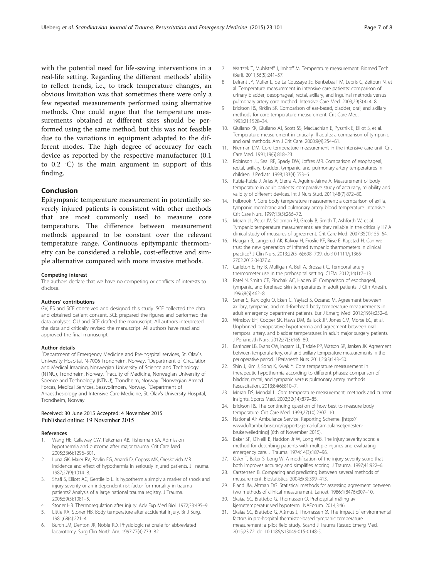<span id="page-6-0"></span>with the potential need for life-saving interventions in a real-life setting. Regarding the different methods' ability to reflect trends, i.e., to track temperature changes, an obvious limitation was that sometimes there were only a few repeated measurements performed using alternative methods. One could argue that the temperature measurements obtained at different sites should be performed using the same method, but this was not feasible due to the variations in equipment adapted to the different modes. The high degree of accuracy for each device as reported by the respective manufacturer (0.1 to 0.2 °C) is the main argument in support of this finding.

#### Conclusion

Epitympanic temperature measurement in potentially severely injured patients is consistent with other methods that are most commonly used to measure core temperature. The difference between measurement methods appeared to be constant over the relevant temperature range. Continuous epitympanic thermometry can be considered a reliable, cost-effective and simple alternative compared with more invasive methods.

#### Competing interest

The authors declare that we have no competing or conflicts of interests to disclose.

#### Authors' contributions

GV, ES and SCE conceived and designed this study. SCE collected the data and obtained patient consent. SCE prepared the figures and performed the data analyses. OU and SCE drafted the manuscript. All authors interpreted the data and critically revised the manuscript. All authors have read and approved the final manuscript.

#### Author details

<sup>1</sup>Department of Emergency Medicine and Pre-hospital services, St. Olav's University Hospital, N-7006 Trondheim, Norway. <sup>2</sup>Department of Circulation and Medical Imaging, Norwegian University of Science and Technology (NTNU), Trondheim, Norway. <sup>3</sup>Faculty of Medicine, Norwegian University of Science and Technology (NTNU), Trondheim, Norway. <sup>4</sup>Norwegian Armed Forces, Medical Services, Sessvollmoen, Norway. <sup>5</sup>Department of Anaesthesiology and Intensive Care Medicine, St. Olav's University Hospital, Trondheim, Norway.

#### Received: 30 June 2015 Accepted: 4 November 2015 Published online: 19 November 2015

#### References

- 1. Wang HE, Callaway CW, Peitzman AB, Tisherman SA. Admission hypothermia and outcome after major trauma. Crit Care Med. 2005;33(6):1296–301.
- 2. Luna GK, Maier RV, Pavlin EG, Anardi D, Copass MK, Oreskovich MR. Incidence and effect of hypothermia in seriously injured patients. J Trauma. 1987;27(9):1014–8.
- 3. Shafi S, Elliott AC, Gentilello L. Is hypothermia simply a marker of shock and injury severity or an independent risk factor for mortality in trauma patients? Analysis of a large national trauma registry. J Trauma. 2005;59(5):1081–5.
- 4. Stoner HB. Thermoregulation after injury. Adv Exp Med Biol. 1972;33:495–9.
- Little RA, Stoner HB. Body temperature after accidental injury. Br J Surg. 1981;68(4):221–4.
- 6. Burch JM, Denton JR, Noble RD. Physiologic rationale for abbreviated laparotomy. Surg Clin North Am. 1997;77(4):779–82.
- 7. Wartzek T, Muhlsteff J, Imhoff M. Temperature measurement. Biomed Tech (Berl). 2011;56(5):241–57.
- 8. Lefrant JY, Muller L, de La Coussaye JE, Benbabaali M, Lebris C, Zeitoun N, et al. Temperature measurement in intensive care patients: comparison of urinary bladder, oesophageal, rectal, axillary, and inguinal methods versus pulmonary artery core method. Intensive Care Med. 2003;29(3):414–8.
- 9. Erickson RS, Kirklin SK. Comparison of ear-based, bladder, oral, and axillary methods for core temperature measurement. Crit Care Med. 1993;21:1528–34.
- 10. Giuliano KK, Giuliano AJ, Scott SS, MacLachlan E, Pysznik E, Elliot S, et al. Temperature measurement in critically ill adults: a comparison of tympanic and oral methods. Am J Crit Care. 2000;9(4):254–61.
- 11. Nierman DM. Core temperature measurement in the intensive care unit. Crit Care Med. 1991;19(6):818–23.
- 12. Robinson JL, Seal RF, Spady DW, Joffres MR. Comparison of esophageal, rectal, axillary, bladder, tympanic, and pulmonary artery temperatures in children. J Pediatr. 1998;133(4):553–6.
- 13. Rubia-Rubia J, Arias A, Sierra A, Aguirre-Jaime A. Measurement of body temperature in adult patients: comparative study of accuracy, reliability and validity of different devices. Int J Nurs Stud. 2011;48(7):872–80.
- 14. Fulbrook P. Core body temperature measurement: a comparison of axilla, tympanic membrane and pulmonary artery blood temperature. Intensive Crit Care Nurs. 1997;13(5):266–72.
- 15. Moran JL, Peter JV, Solomon PJ, Grealy B, Smith T, Ashforth W, et al. Tympanic temperature measurements: are they reliable in the critically ill? A clinical study of measures of agreement. Crit Care Med. 2007;35(1):155–64.
- 16. Haugan B, Langerud AK, Kalvoy H, Froslie KF, Riise E, Kapstad H. Can we trust the new generation of infrared tympanic thermometers in clinical practice? J Clin Nurs. 2013;22(5–6):698–709. doi[:10.1111/j.1365-](http://dx.doi.org/10.1111/j.1365-2702.2012.04077.x) [2702.2012.04077.x.](http://dx.doi.org/10.1111/j.1365-2702.2012.04077.x)
- 17. Carleton E, Fry B, Mulligan A, Bell A, Brossart C. Temporal artery thermometer use in the prehospital setting. CJEM. 2012;14(1):7–13.
- 18. Patel N, Smith CE, Pinchak AC, Hagen JF. Comparison of esophageal, tympanic, and forehead skin temperatures in adult patients. J Clin Anesth. 1996;8(6):462–8.
- 19. Sener S, Karcioglu O, Eken C, Yaylaci S, Ozsarac M. Agreement between axillary, tympanic, and mid-forehead body temperature measurements in adult emergency department patients. Eur J Emerg Med. 2012;19(4):252–6.
- 20. Winslow EH, Cooper SK, Haws DM, Balluck JP, Jones CM, Morse EC, et al. Unplanned perioperative hypothermia and agreement between oral, temporal artery, and bladder temperatures in adult major surgery patients. J Perianesth Nurs. 2012;27(3):165–80.
- 21. Barringer LB, Evans CW, Ingram LL, Tisdale PP, Watson SP, Janken JK. Agreement between temporal artery, oral, and axillary temperature measurements in the perioperative period. J Perianesth Nurs. 2011;26(3):143–50.
- 22. Shin J, Kim J, Song K, Kwak Y. Core temperature measurement in therapeutic hypothermia according to different phases: comparison of bladder, rectal, and tympanic versus pulmonary artery methods. Resuscitation. 2013;84(6):810–7.
- 23. Moran DS, Mendal L. Core temperature measurement: methods and current insights. Sports Med. 2002;32(14):879–85.
- 24. Erickson RS. The continuing question of how best to measure body temperature. Crit Care Med. 1999;27(10):2307–10.
- 25. National Air Ambulance Service. Reporting Scheme. [\[http://](http://www.luftambulanse.no/rapportskjema-luftambulansetjenesten-brukerveiledning) [www.luftambulanse.no/rapportskjema-luftambulansetjenesten](http://www.luftambulanse.no/rapportskjema-luftambulansetjenesten-brukerveiledning)[brukerveiledning\]](http://www.luftambulanse.no/rapportskjema-luftambulansetjenesten-brukerveiledning) (6th of November 2015).
- 26. Baker SP, O'Neill B, Haddon Jr W, Long WB. The injury severity score: a method for describing patients with multiple injuries and evaluating emergency care. J Trauma. 1974;14(3):187–96.
- 27. Osler T, Baker S, Long W. A modification of the injury severity score that both improves accuracy and simplifies scoring. J Trauma. 1997;41:922–6.
- 28. Carstensen B. Comparing and predicting between several methods of measurement. Biostatistics. 2004;5(3):399–413.
- 29. Bland JM, Altman DG. Statistical methods for assessing agreement between two methods of clinical measurement. Lancet. 1986;1(8476):307–10.
- 30. Skaiaa SC, Brattebo G, Thomassen O. Prehospital måling av kjernetemperatur ved hypotermi. NAForum. 2014;3:46.
- 31. Skaiaa SC, Brattebø G, Aßmus J, Thomassen Ø. The impact of environmental factors in pre-hospital thermistor-based tympanic temperature measurement: a pilot field study. Scand J Trauma Resusc Emerg Med. 2015;23:72. doi[:10.1186/s13049-015-0148-5](http://dx.doi.org/10.1186/s13049-015-0148-5).